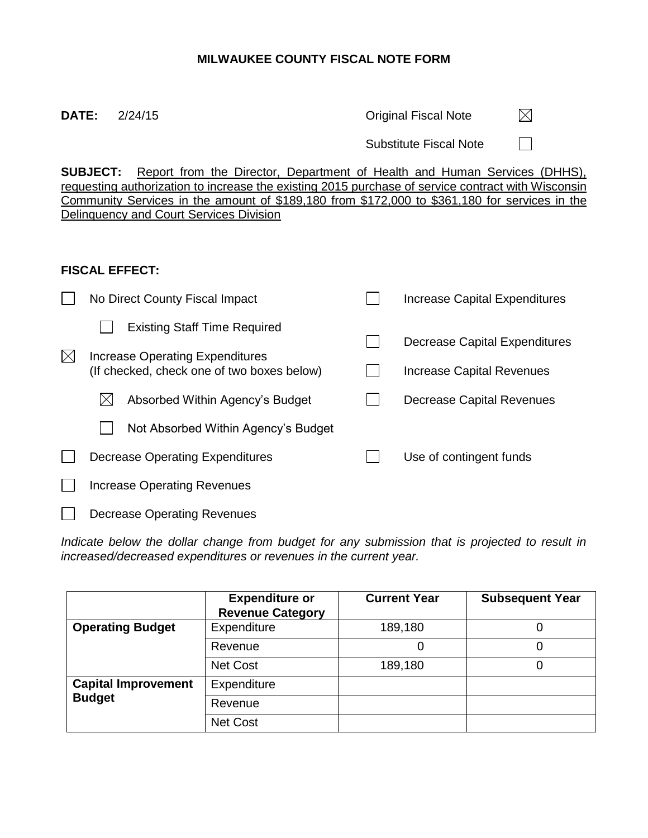# **MILWAUKEE COUNTY FISCAL NOTE FORM**

**DATE:** 2/24/15 **Original Fiscal Note**  $\boxtimes$ 

Substitute Fiscal Note

 $\Box$ 

**SUBJECT:** Report from the Director, Department of Health and Human Services (DHHS), requesting authorization to increase the existing 2015 purchase of service contract with Wisconsin Community Services in the amount of \$189,180 from \$172,000 to \$361,180 for services in the Delinquency and Court Services Division

# **FISCAL EFFECT:**

|             | No Direct County Fiscal Impact                                                |  | Increase Capital Expenditures |  |  |  |
|-------------|-------------------------------------------------------------------------------|--|-------------------------------|--|--|--|
|             | <b>Existing Staff Time Required</b>                                           |  | Decrease Capital Expenditures |  |  |  |
| $\boxtimes$ | Increase Operating Expenditures<br>(If checked, check one of two boxes below) |  | Increase Capital Revenues     |  |  |  |
|             | Absorbed Within Agency's Budget<br>IХ                                         |  | Decrease Capital Revenues     |  |  |  |
|             | Not Absorbed Within Agency's Budget                                           |  |                               |  |  |  |
|             | Decrease Operating Expenditures                                               |  | Use of contingent funds       |  |  |  |
|             | <b>Increase Operating Revenues</b>                                            |  |                               |  |  |  |
|             | <b>Decrease Operating Revenues</b>                                            |  |                               |  |  |  |

*Indicate below the dollar change from budget for any submission that is projected to result in increased/decreased expenditures or revenues in the current year.*

|                            | <b>Expenditure or</b><br><b>Revenue Category</b> | <b>Current Year</b> | <b>Subsequent Year</b> |
|----------------------------|--------------------------------------------------|---------------------|------------------------|
| <b>Operating Budget</b>    | Expenditure                                      | 189,180             |                        |
|                            | Revenue                                          | 0                   |                        |
|                            | <b>Net Cost</b>                                  | 189,180             |                        |
| <b>Capital Improvement</b> | Expenditure                                      |                     |                        |
| <b>Budget</b>              | Revenue                                          |                     |                        |
|                            | Net Cost                                         |                     |                        |